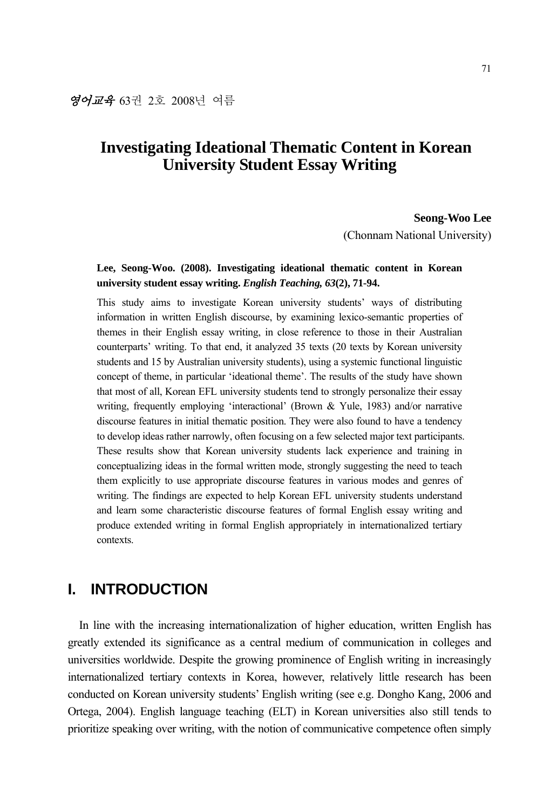# **Investigating Ideational Thematic Content in Korean University Student Essay Writing**

#### **Seong-Woo Lee**

(Chonnam National University)

### **Lee, Seong-Woo. (2008). Investigating ideational thematic content in Korean university student essay writing.** *English Teaching, 63***(2), 71-94.**

This study aims to investigate Korean university students' ways of distributing information in written English discourse, by examining lexico-semantic properties of themes in their English essay writing, in close reference to those in their Australian counterparts' writing. To that end, it analyzed 35 texts (20 texts by Korean university students and 15 by Australian university students), using a systemic functional linguistic concept of theme, in particular 'ideational theme'. The results of the study have shown that most of all, Korean EFL university students tend to strongly personalize their essay writing, frequently employing 'interactional' (Brown & Yule, 1983) and/or narrative discourse features in initial thematic position. They were also found to have a tendency to develop ideas rather narrowly, often focusing on a few selected major text participants. These results show that Korean university students lack experience and training in conceptualizing ideas in the formal written mode, strongly suggesting the need to teach them explicitly to use appropriate discourse features in various modes and genres of writing. The findings are expected to help Korean EFL university students understand and learn some characteristic discourse features of formal English essay writing and produce extended writing in formal English appropriately in internationalized tertiary contexts.

# **I. INTRODUCTION**

In line with the increasing internationalization of higher education, written English has greatly extended its significance as a central medium of communication in colleges and universities worldwide. Despite the growing prominence of English writing in increasingly internationalized tertiary contexts in Korea, however, relatively little research has been conducted on Korean university students' English writing (see e.g. Dongho Kang, 2006 and Ortega, 2004). English language teaching (ELT) in Korean universities also still tends to prioritize speaking over writing, with the notion of communicative competence often simply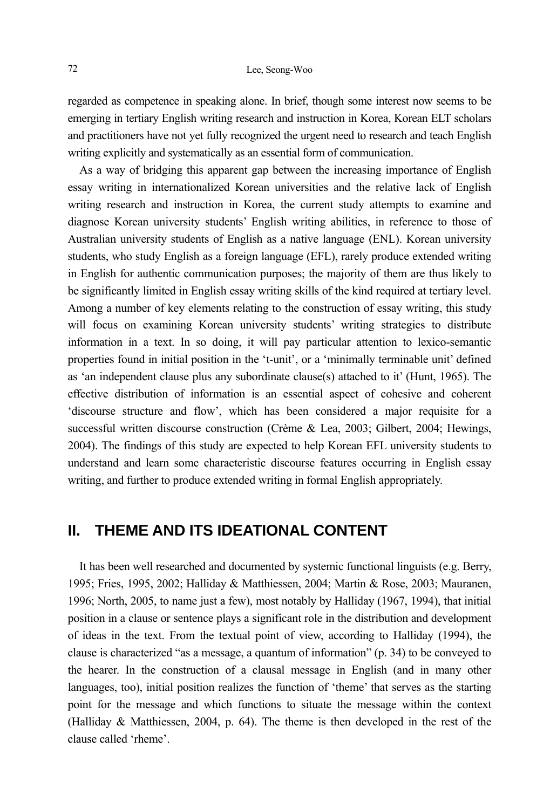regarded as competence in speaking alone. In brief, though some interest now seems to be emerging in tertiary English writing research and instruction in Korea, Korean ELT scholars and practitioners have not yet fully recognized the urgent need to research and teach English writing explicitly and systematically as an essential form of communication.

As a way of bridging this apparent gap between the increasing importance of English essay writing in internationalized Korean universities and the relative lack of English writing research and instruction in Korea, the current study attempts to examine and diagnose Korean university students' English writing abilities, in reference to those of Australian university students of English as a native language (ENL). Korean university students, who study English as a foreign language (EFL), rarely produce extended writing in English for authentic communication purposes; the majority of them are thus likely to be significantly limited in English essay writing skills of the kind required at tertiary level. Among a number of key elements relating to the construction of essay writing, this study will focus on examining Korean university students' writing strategies to distribute information in a text. In so doing, it will pay particular attention to lexico-semantic properties found in initial position in the 't-unit', or a 'minimally terminable unit' defined as 'an independent clause plus any subordinate clause(s) attached to it' (Hunt, 1965). The effective distribution of information is an essential aspect of cohesive and coherent 'discourse structure and flow', which has been considered a major requisite for a successful written discourse construction (Crème & Lea, 2003; Gilbert, 2004; Hewings, 2004). The findings of this study are expected to help Korean EFL university students to understand and learn some characteristic discourse features occurring in English essay writing, and further to produce extended writing in formal English appropriately.

# **II. THEME AND ITS IDEATIONAL CONTENT**

It has been well researched and documented by systemic functional linguists (e.g. Berry, 1995; Fries, 1995, 2002; Halliday & Matthiessen, 2004; Martin & Rose, 2003; Mauranen, 1996; North, 2005, to name just a few), most notably by Halliday (1967, 1994), that initial position in a clause or sentence plays a significant role in the distribution and development of ideas in the text. From the textual point of view, according to Halliday (1994), the clause is characterized "as a message, a quantum of information" (p. 34) to be conveyed to the hearer. In the construction of a clausal message in English (and in many other languages, too), initial position realizes the function of 'theme' that serves as the starting point for the message and which functions to situate the message within the context (Halliday & Matthiessen, 2004, p. 64). The theme is then developed in the rest of the clause called 'rheme'.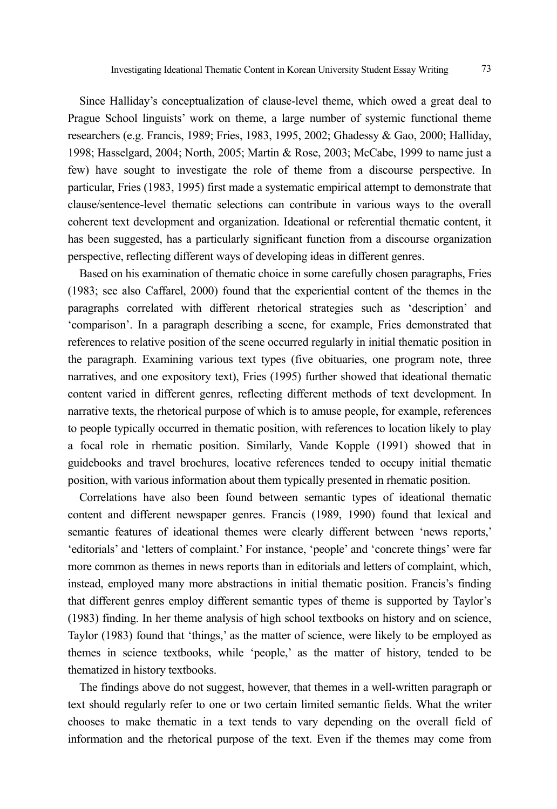Since Halliday's conceptualization of clause-level theme, which owed a great deal to Prague School linguists' work on theme, a large number of systemic functional theme researchers (e.g. Francis, 1989; Fries, 1983, 1995, 2002; Ghadessy & Gao, 2000; Halliday, 1998; Hasselgard, 2004; North, 2005; Martin & Rose, 2003; McCabe, 1999 to name just a few) have sought to investigate the role of theme from a discourse perspective. In particular, Fries (1983, 1995) first made a systematic empirical attempt to demonstrate that clause/sentence-level thematic selections can contribute in various ways to the overall coherent text development and organization. Ideational or referential thematic content, it has been suggested, has a particularly significant function from a discourse organization perspective, reflecting different ways of developing ideas in different genres.

Based on his examination of thematic choice in some carefully chosen paragraphs, Fries (1983; see also Caffarel, 2000) found that the experiential content of the themes in the paragraphs correlated with different rhetorical strategies such as 'description' and 'comparison'. In a paragraph describing a scene, for example, Fries demonstrated that references to relative position of the scene occurred regularly in initial thematic position in the paragraph. Examining various text types (five obituaries, one program note, three narratives, and one expository text), Fries (1995) further showed that ideational thematic content varied in different genres, reflecting different methods of text development. In narrative texts, the rhetorical purpose of which is to amuse people, for example, references to people typically occurred in thematic position, with references to location likely to play a focal role in rhematic position. Similarly, Vande Kopple (1991) showed that in guidebooks and travel brochures, locative references tended to occupy initial thematic position, with various information about them typically presented in rhematic position.

Correlations have also been found between semantic types of ideational thematic content and different newspaper genres. Francis (1989, 1990) found that lexical and semantic features of ideational themes were clearly different between 'news reports,' 'editorials' and 'letters of complaint.' For instance, 'people' and 'concrete things' were far more common as themes in news reports than in editorials and letters of complaint, which, instead, employed many more abstractions in initial thematic position. Francis's finding that different genres employ different semantic types of theme is supported by Taylor's (1983) finding. In her theme analysis of high school textbooks on history and on science, Taylor (1983) found that 'things,' as the matter of science, were likely to be employed as themes in science textbooks, while 'people,' as the matter of history, tended to be thematized in history textbooks.

The findings above do not suggest, however, that themes in a well-written paragraph or text should regularly refer to one or two certain limited semantic fields. What the writer chooses to make thematic in a text tends to vary depending on the overall field of information and the rhetorical purpose of the text. Even if the themes may come from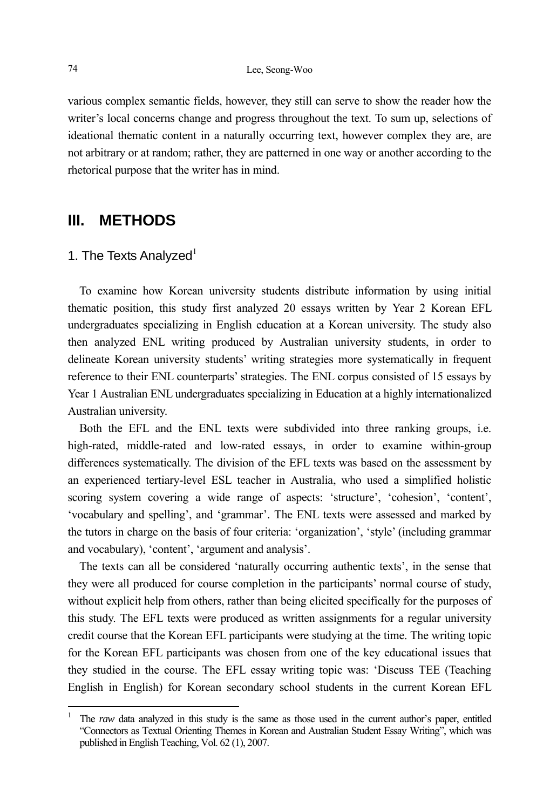various complex semantic fields, however, they still can serve to show the reader how the writer's local concerns change and progress throughout the text. To sum up, selections of ideational thematic content in a naturally occurring text, however complex they are, are not arbitrary or at random; rather, they are patterned in one way or another according to the rhetorical purpose that the writer has in mind.

## **III. METHODS**

### 1. The Texts Analyzed $1$

To examine how Korean university students distribute information by using initial thematic position, this study first analyzed 20 essays written by Year 2 Korean EFL undergraduates specializing in English education at a Korean university. The study also then analyzed ENL writing produced by Australian university students, in order to delineate Korean university students' writing strategies more systematically in frequent reference to their ENL counterparts' strategies. The ENL corpus consisted of 15 essays by Year 1 Australian ENL undergraduates specializing in Education at a highly internationalized Australian university.

Both the EFL and the ENL texts were subdivided into three ranking groups, i.e. high-rated, middle-rated and low-rated essays, in order to examine within-group differences systematically. The division of the EFL texts was based on the assessment by an experienced tertiary-level ESL teacher in Australia, who used a simplified holistic scoring system covering a wide range of aspects: 'structure', 'cohesion', 'content', 'vocabulary and spelling', and 'grammar'. The ENL texts were assessed and marked by the tutors in charge on the basis of four criteria: 'organization', 'style' (including grammar and vocabulary), 'content', 'argument and analysis'.

The texts can all be considered 'naturally occurring authentic texts', in the sense that they were all produced for course completion in the participants' normal course of study, without explicit help from others, rather than being elicited specifically for the purposes of this study. The EFL texts were produced as written assignments for a regular university credit course that the Korean EFL participants were studying at the time. The writing topic for the Korean EFL participants was chosen from one of the key educational issues that they studied in the course. The EFL essay writing topic was: 'Discuss TEE (Teaching English in English) for Korean secondary school students in the current Korean EFL

l

<sup>1</sup> The *raw* data analyzed in this study is the same as those used in the current author's paper, entitled "Connectors as Textual Orienting Themes in Korean and Australian Student Essay Writing", which was published in English Teaching, Vol. 62 (1), 2007.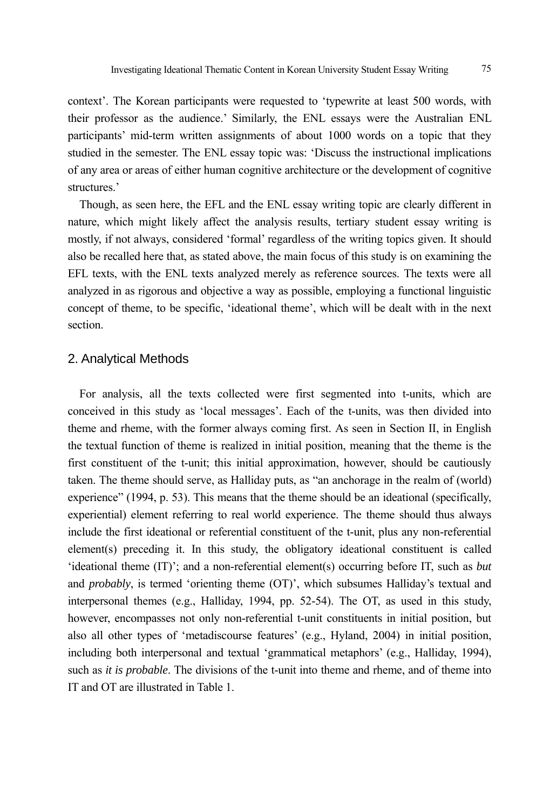context'. The Korean participants were requested to 'typewrite at least 500 words, with their professor as the audience.' Similarly, the ENL essays were the Australian ENL participants' mid-term written assignments of about 1000 words on a topic that they studied in the semester. The ENL essay topic was: 'Discuss the instructional implications of any area or areas of either human cognitive architecture or the development of cognitive structures<sup>'</sup>

Though, as seen here, the EFL and the ENL essay writing topic are clearly different in nature, which might likely affect the analysis results, tertiary student essay writing is mostly, if not always, considered 'formal' regardless of the writing topics given. It should also be recalled here that, as stated above, the main focus of this study is on examining the EFL texts, with the ENL texts analyzed merely as reference sources. The texts were all analyzed in as rigorous and objective a way as possible, employing a functional linguistic concept of theme, to be specific, 'ideational theme', which will be dealt with in the next section.

#### 2. Analytical Methods

For analysis, all the texts collected were first segmented into t-units, which are conceived in this study as 'local messages'. Each of the t-units, was then divided into theme and rheme, with the former always coming first. As seen in Section II, in English the textual function of theme is realized in initial position, meaning that the theme is the first constituent of the t-unit; this initial approximation, however, should be cautiously taken. The theme should serve, as Halliday puts, as "an anchorage in the realm of (world) experience" (1994, p. 53). This means that the theme should be an ideational (specifically, experiential) element referring to real world experience. The theme should thus always include the first ideational or referential constituent of the t-unit, plus any non-referential element(s) preceding it. In this study, the obligatory ideational constituent is called 'ideational theme (IT)'; and a non-referential element(s) occurring before IT, such as *but* and *probably*, is termed 'orienting theme (OT)', which subsumes Halliday's textual and interpersonal themes (e.g., Halliday, 1994, pp. 52-54). The OT, as used in this study, however, encompasses not only non-referential t-unit constituents in initial position, but also all other types of 'metadiscourse features' (e.g., Hyland, 2004) in initial position, including both interpersonal and textual 'grammatical metaphors' (e.g., Halliday, 1994), such as *it is probable*. The divisions of the t-unit into theme and rheme, and of theme into IT and OT are illustrated in Table 1.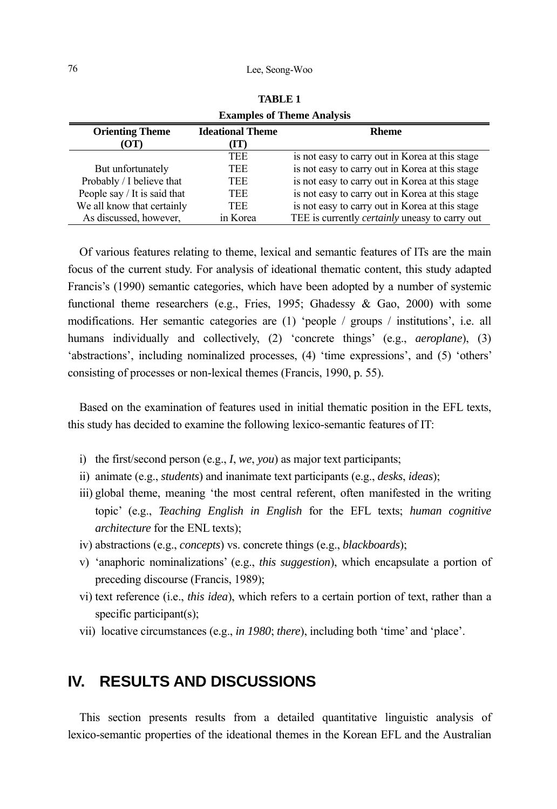#### 76 Lee, Seong-Woo

| <b>Examples of Theme Analysis</b> |                         |                                                       |  |  |  |  |  |
|-----------------------------------|-------------------------|-------------------------------------------------------|--|--|--|--|--|
| <b>Orienting Theme</b>            | <b>Ideational Theme</b> | <b>Rheme</b>                                          |  |  |  |  |  |
| (OT)                              | (IT)                    |                                                       |  |  |  |  |  |
|                                   | <b>TEE</b>              | is not easy to carry out in Korea at this stage       |  |  |  |  |  |
| But unfortunately                 | TEE                     | is not easy to carry out in Korea at this stage       |  |  |  |  |  |
| Probably / I believe that         | TEE                     | is not easy to carry out in Korea at this stage       |  |  |  |  |  |
| People say / It is said that      | TEE                     | is not easy to carry out in Korea at this stage       |  |  |  |  |  |
| We all know that certainly        | TEE                     | is not easy to carry out in Korea at this stage       |  |  |  |  |  |
| As discussed, however,            | in Korea                | TEE is currently <i>certainly</i> uneasy to carry out |  |  |  |  |  |

**TABLE 1** 

Of various features relating to theme, lexical and semantic features of ITs are the main focus of the current study. For analysis of ideational thematic content, this study adapted Francis's (1990) semantic categories, which have been adopted by a number of systemic functional theme researchers (e.g., Fries, 1995; Ghadessy & Gao, 2000) with some modifications. Her semantic categories are (1) 'people / groups / institutions', i.e. all humans individually and collectively, (2) 'concrete things' (e.g., *aeroplane*), (3) 'abstractions', including nominalized processes, (4) 'time expressions', and (5) 'others' consisting of processes or non-lexical themes (Francis, 1990, p. 55).

Based on the examination of features used in initial thematic position in the EFL texts, this study has decided to examine the following lexico-semantic features of IT:

- i) the first/second person (e.g., *I*, *we*, *you*) as major text participants;
- ii) animate (e.g., *students*) and inanimate text participants (e.g., *desks*, *ideas*);
- iii) global theme, meaning 'the most central referent, often manifested in the writing topic' (e.g., *Teaching English in English* for the EFL texts; *human cognitive architecture* for the ENL texts);
- iv) abstractions (e.g., *concepts*) vs. concrete things (e.g., *blackboards*);
- v) 'anaphoric nominalizations' (e.g., *this suggestion*), which encapsulate a portion of preceding discourse (Francis, 1989);
- vi) text reference (i.e., *this idea*), which refers to a certain portion of text, rather than a specific participant(s);
- vii) locative circumstances (e.g., *in 1980*; *there*), including both 'time' and 'place'.

## **IV. RESULTS AND DISCUSSIONS**

This section presents results from a detailed quantitative linguistic analysis of lexico-semantic properties of the ideational themes in the Korean EFL and the Australian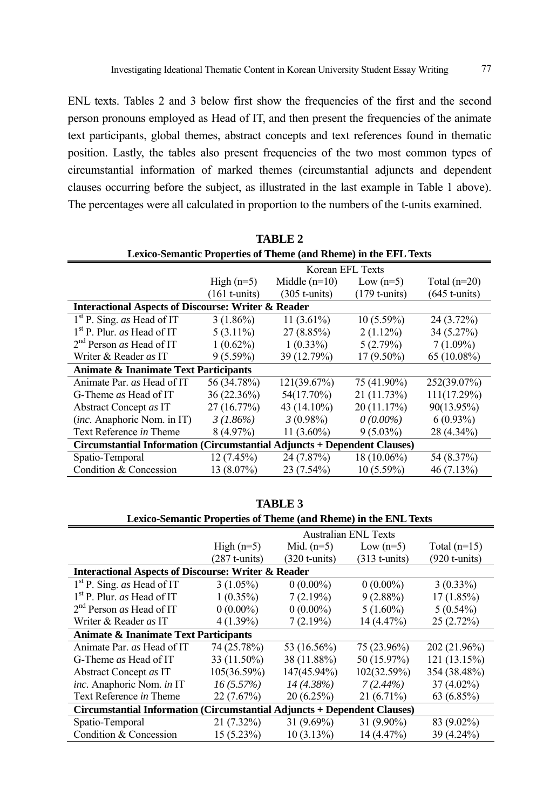ENL texts. Tables 2 and 3 below first show the frequencies of the first and the second person pronouns employed as Head of IT, and then present the frequencies of the animate text participants, global themes, abstract concepts and text references found in thematic position. Lastly, the tables also present frequencies of the two most common types of circumstantial information of marked themes (circumstantial adjuncts and dependent clauses occurring before the subject, as illustrated in the last example in Table 1 above). The percentages were all calculated in proportion to the numbers of the t-units examined.

| Lexico-Semantic Properties of Theme (and Rheme) in the EFL Texts         |                                                                  |                 |                 |                 |  |  |  |  |  |  |
|--------------------------------------------------------------------------|------------------------------------------------------------------|-----------------|-----------------|-----------------|--|--|--|--|--|--|
|                                                                          | Korean EFL Texts                                                 |                 |                 |                 |  |  |  |  |  |  |
|                                                                          | Middle $(n=10)$<br>High $(n=5)$<br>Total $(n=20)$<br>Low $(n=5)$ |                 |                 |                 |  |  |  |  |  |  |
|                                                                          | $(161$ t-units)                                                  | $(305$ t-units) | $(179$ t-units) | $(645$ t-units) |  |  |  |  |  |  |
| <b>Interactional Aspects of Discourse: Writer &amp; Reader</b>           |                                                                  |                 |                 |                 |  |  |  |  |  |  |
| $1st$ P. Sing. <i>as</i> Head of IT                                      | $3(1.86\%)$                                                      | $11(3.61\%)$    | $10(5.59\%)$    | $24(3.72\%)$    |  |  |  |  |  |  |
| $1st$ P. Plur. <i>as</i> Head of IT                                      | $5(3.11\%)$                                                      | $27(8.85\%)$    | $2(1.12\%)$     | 34 (5.27%)      |  |  |  |  |  |  |
| $2nd$ Person <i>as</i> Head of IT                                        | $1(0.62\%)$                                                      | $1(0.33\%)$     | 5(2.79%)        | $7(1.09\%)$     |  |  |  |  |  |  |
| Writer & Reader as IT                                                    | $9(5.59\%)$                                                      | 39 (12.79%)     | 17 (9.50%)      | $65(10.08\%)$   |  |  |  |  |  |  |
| Animate & Inanimate Text Participants                                    |                                                                  |                 |                 |                 |  |  |  |  |  |  |
| Animate Par. as Head of IT                                               | 56 (34.78%)                                                      | 121(39.67%)     | 75 (41.90%)     | 252(39.07%)     |  |  |  |  |  |  |
| G-Theme as Head of IT                                                    | 36 (22.36%)                                                      | 54(17.70%)      | 21 (11.73%)     | 111(17.29%)     |  |  |  |  |  |  |
| Abstract Concept as IT                                                   | 27(16.77%)                                                       | 43 (14.10%)     | 20(11.17%)      | 90(13.95%)      |  |  |  |  |  |  |
| <i>(inc. Anaphoric Nom. in IT)</i>                                       | $3(1.86\%)$                                                      | $3(0.98\%)$     | $0(0.00\%)$     | $6(0.93\%)$     |  |  |  |  |  |  |
| Text Reference in Theme                                                  | $8(4.97\%)$                                                      | $11(3.60\%)$    | $9(5.03\%)$     | 28 (4.34%)      |  |  |  |  |  |  |
| Circumstantial Information (Circumstantial Adjuncts + Dependent Clauses) |                                                                  |                 |                 |                 |  |  |  |  |  |  |
| Spatio-Temporal                                                          | 12(7.45%)                                                        | 24 (7.87%)      | 18 (10.06%)     | 54 (8.37%)      |  |  |  |  |  |  |
| Condition & Concession                                                   | 13 (8.07%)                                                       | 23 (7.54%)      | $10(5.59\%)$    | $46(7.13\%)$    |  |  |  |  |  |  |

**TABLE 2** 

| Lexico-Semantic Properties of Theme (and Rheme) in the ENL Texts         |                             |                 |                 |                 |  |  |  |  |  |  |
|--------------------------------------------------------------------------|-----------------------------|-----------------|-----------------|-----------------|--|--|--|--|--|--|
|                                                                          | <b>Australian ENL Texts</b> |                 |                 |                 |  |  |  |  |  |  |
|                                                                          | High $(n=5)$                | Mid. $(n=5)$    | Low $(n=5)$     | Total $(n=15)$  |  |  |  |  |  |  |
|                                                                          | $(287$ t-units)             | $(320$ t-units) | $(313$ t-units) | $(920$ t-units) |  |  |  |  |  |  |
| <b>Interactional Aspects of Discourse: Writer &amp; Reader</b>           |                             |                 |                 |                 |  |  |  |  |  |  |
| $1st$ P. Sing. <i>as</i> Head of IT                                      | $3(1.05\%)$                 | $0(0.00\%)$     | $0(0.00\%)$     | $3(0.33\%)$     |  |  |  |  |  |  |
| $1st$ P. Plur. <i>as</i> Head of IT                                      | $1(0.35\%)$                 | 7(2.19%)        | $9(2.88\%)$     | 17(1.85%)       |  |  |  |  |  |  |
| $2nd$ Person <i>as</i> Head of IT                                        | $0(0.00\%)$                 | $0(0.00\%)$     | $5(1.60\%)$     | $5(0.54\%)$     |  |  |  |  |  |  |
| Writer & Reader as IT                                                    | $4(1.39\%)$                 | 7(2.19%)        | 14(4.47%)       | 25(2.72%)       |  |  |  |  |  |  |
| <b>Animate &amp; Inanimate Text Participants</b>                         |                             |                 |                 |                 |  |  |  |  |  |  |
| Animate Par. as Head of IT                                               | 74 (25.78%)                 | 53 (16.56%)     | 75 (23.96%)     | 202 (21.96%)    |  |  |  |  |  |  |
| G-Theme <i>as</i> Head of IT                                             | 33 (11.50%)                 | 38 (11.88%)     | 50 (15.97%)     | 121(13.15%)     |  |  |  |  |  |  |
| Abstract Concept as IT                                                   | $105(36.59\%)$              | 147(45.94%)     | 102(32.59%)     | 354 (38.48%)    |  |  |  |  |  |  |
| inc. Anaphoric Nom. in IT                                                | 16(5.57%)                   | $14(4.38\%)$    | $7(2.44\%)$     | $37(4.02\%)$    |  |  |  |  |  |  |
| Text Reference in Theme                                                  | 22(7.67%)                   | 20(6.25%)       | $21(6.71\%)$    | 63 (6.85%)      |  |  |  |  |  |  |
| Circumstantial Information (Circumstantial Adjuncts + Dependent Clauses) |                             |                 |                 |                 |  |  |  |  |  |  |
| Spatio-Temporal                                                          | 21 (7.32%)                  | $31(9.69\%)$    | $31(9.90\%)$    | 83 (9.02%)      |  |  |  |  |  |  |
| Condition & Concession                                                   | $15(5.23\%)$                | $10(3.13\%)$    | 14 (4.47%)      | 39 (4.24%)      |  |  |  |  |  |  |

**TABLE 3**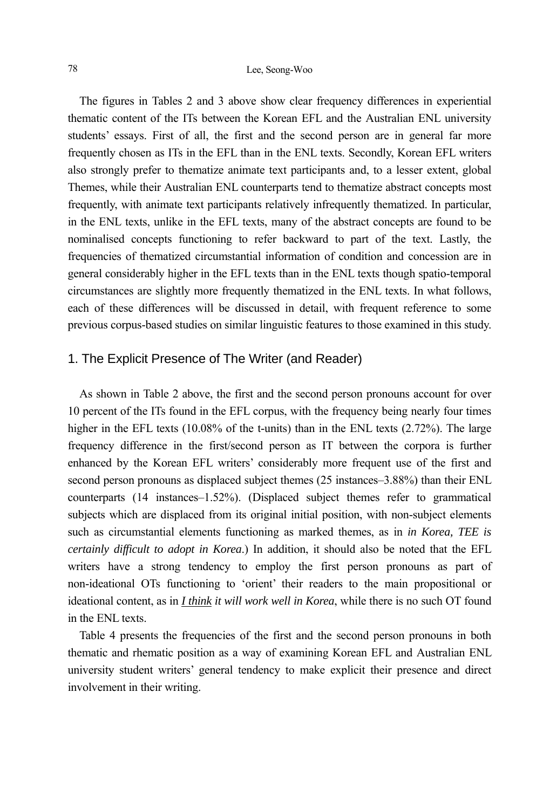#### 78 Lee, Seong-Woo

The figures in Tables 2 and 3 above show clear frequency differences in experiential thematic content of the ITs between the Korean EFL and the Australian ENL university students' essays. First of all, the first and the second person are in general far more frequently chosen as ITs in the EFL than in the ENL texts. Secondly, Korean EFL writers also strongly prefer to thematize animate text participants and, to a lesser extent, global Themes, while their Australian ENL counterparts tend to thematize abstract concepts most frequently, with animate text participants relatively infrequently thematized. In particular, in the ENL texts, unlike in the EFL texts, many of the abstract concepts are found to be nominalised concepts functioning to refer backward to part of the text. Lastly, the frequencies of thematized circumstantial information of condition and concession are in general considerably higher in the EFL texts than in the ENL texts though spatio-temporal circumstances are slightly more frequently thematized in the ENL texts. In what follows, each of these differences will be discussed in detail, with frequent reference to some previous corpus-based studies on similar linguistic features to those examined in this study.

### 1. The Explicit Presence of The Writer (and Reader)

As shown in Table 2 above, the first and the second person pronouns account for over 10 percent of the ITs found in the EFL corpus, with the frequency being nearly four times higher in the EFL texts (10.08% of the t-units) than in the ENL texts (2.72%). The large frequency difference in the first/second person as IT between the corpora is further enhanced by the Korean EFL writers' considerably more frequent use of the first and second person pronouns as displaced subject themes (25 instances–3.88%) than their ENL counterparts (14 instances–1.52%). (Displaced subject themes refer to grammatical subjects which are displaced from its original initial position, with non-subject elements such as circumstantial elements functioning as marked themes, as in *in Korea, TEE is certainly difficult to adopt in Korea*.) In addition, it should also be noted that the EFL writers have a strong tendency to employ the first person pronouns as part of non-ideational OTs functioning to 'orient' their readers to the main propositional or ideational content, as in *I think it will work well in Korea*, while there is no such OT found in the ENL texts.

Table 4 presents the frequencies of the first and the second person pronouns in both thematic and rhematic position as a way of examining Korean EFL and Australian ENL university student writers' general tendency to make explicit their presence and direct involvement in their writing.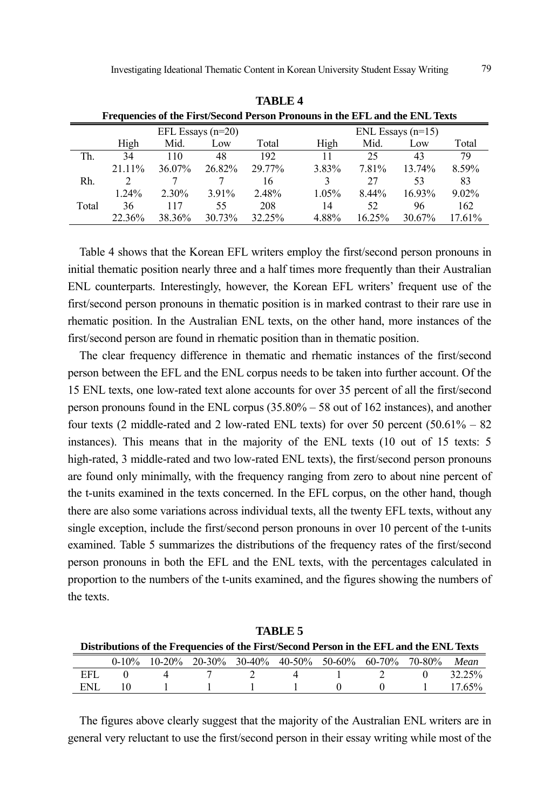|       | Frequencies of the First/Second Person Pronouns in the EFL and the ENL Texts |          |                     |        |                     |        |        |          |  |  |  |  |
|-------|------------------------------------------------------------------------------|----------|---------------------|--------|---------------------|--------|--------|----------|--|--|--|--|
|       |                                                                              |          | EFL Essays $(n=20)$ |        | ENL Essays $(n=15)$ |        |        |          |  |  |  |  |
|       | High                                                                         | Mid.     | Low                 | Total  | High                | Mid.   | Low    | Total    |  |  |  |  |
| Th.   | 34                                                                           | 110      | 48                  | 192.   | 11                  | 25     | 43     | 79       |  |  |  |  |
|       | $21.11\%$                                                                    | 36.07%   | 26.82%              | 29.77% | 3.83%               | 7.81%  | 13.74% | 8.59%    |  |  |  |  |
| Rh.   |                                                                              |          |                     | 16     |                     | 27     | 53     | 83       |  |  |  |  |
|       | $1.24\%$                                                                     | $2.30\%$ | 3.91%               | 2.48%  | 1.05%               | 8.44%  | 16.93% | $9.02\%$ |  |  |  |  |
| Total | 36                                                                           | 117      | 55                  | 208    | 14                  | 52     | 96     | 162      |  |  |  |  |
|       | 22.36%                                                                       | 38.36%   | 30.73%              | 32.25% | 4.88%               | 16.25% | 30.67% | 17.61%   |  |  |  |  |

**TABLE 4 Frequencies of the First/Second Person Pronouns in the EFL and the ENL Texts**

Table 4 shows that the Korean EFL writers employ the first/second person pronouns in initial thematic position nearly three and a half times more frequently than their Australian ENL counterparts. Interestingly, however, the Korean EFL writers' frequent use of the first/second person pronouns in thematic position is in marked contrast to their rare use in rhematic position. In the Australian ENL texts, on the other hand, more instances of the first/second person are found in rhematic position than in thematic position.

The clear frequency difference in thematic and rhematic instances of the first/second person between the EFL and the ENL corpus needs to be taken into further account. Of the 15 ENL texts, one low-rated text alone accounts for over 35 percent of all the first/second person pronouns found in the ENL corpus (35.80% – 58 out of 162 instances), and another four texts (2 middle-rated and 2 low-rated ENL texts) for over 50 percent  $(50.61\% - 82)$ instances). This means that in the majority of the ENL texts (10 out of 15 texts: 5 high-rated, 3 middle-rated and two low-rated ENL texts), the first/second person pronouns are found only minimally, with the frequency ranging from zero to about nine percent of the t-units examined in the texts concerned. In the EFL corpus, on the other hand, though there are also some variations across individual texts, all the twenty EFL texts, without any single exception, include the first/second person pronouns in over 10 percent of the t-units examined. Table 5 summarizes the distributions of the frequency rates of the first/second person pronouns in both the EFL and the ENL texts, with the percentages calculated in proportion to the numbers of the t-units examined, and the figures showing the numbers of the texts.

| TADLE 5                                                                                  |  |             |  |                                                             |  |                               |  |  |           |  |
|------------------------------------------------------------------------------------------|--|-------------|--|-------------------------------------------------------------|--|-------------------------------|--|--|-----------|--|
| Distributions of the Frequencies of the First/Second Person in the EFL and the ENL Texts |  |             |  |                                                             |  |                               |  |  |           |  |
|                                                                                          |  |             |  | 0-10% 10-20% 20-30% 30-40% 40-50% 50-60% 60-70% 70-80% Mean |  |                               |  |  |           |  |
| EFL.                                                                                     |  | $\mathbf 4$ |  | 7 7 4                                                       |  | $\overline{1}$ $\overline{2}$ |  |  | 32.25%    |  |
| ENL.                                                                                     |  |             |  | $1 \quad 1 \quad 1 \quad 1 \quad 0 \quad 0 \quad 1$         |  |                               |  |  | $17.65\%$ |  |

**TABLE 5** 

The figures above clearly suggest that the majority of the Australian ENL writers are in general very reluctant to use the first/second person in their essay writing while most of the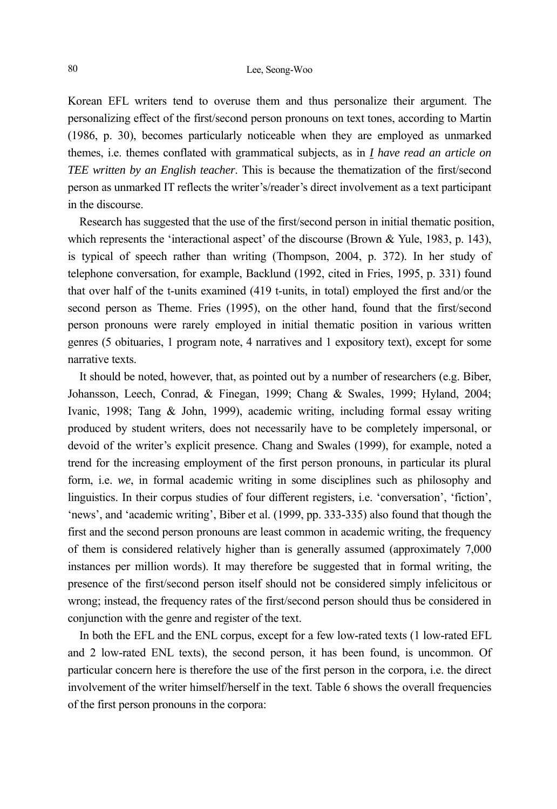Korean EFL writers tend to overuse them and thus personalize their argument. The personalizing effect of the first/second person pronouns on text tones, according to Martin (1986, p. 30), becomes particularly noticeable when they are employed as unmarked themes, i.e. themes conflated with grammatical subjects, as in *I have read an article on TEE written by an English teacher*. This is because the thematization of the first/second person as unmarked IT reflects the writer's/reader's direct involvement as a text participant in the discourse.

Research has suggested that the use of the first/second person in initial thematic position, which represents the 'interactional aspect' of the discourse (Brown & Yule, 1983, p. 143), is typical of speech rather than writing (Thompson, 2004, p. 372). In her study of telephone conversation, for example, Backlund (1992, cited in Fries, 1995, p. 331) found that over half of the t-units examined (419 t-units, in total) employed the first and/or the second person as Theme. Fries (1995), on the other hand, found that the first/second person pronouns were rarely employed in initial thematic position in various written genres (5 obituaries, 1 program note, 4 narratives and 1 expository text), except for some narrative texts.

It should be noted, however, that, as pointed out by a number of researchers (e.g. Biber, Johansson, Leech, Conrad, & Finegan, 1999; Chang & Swales, 1999; Hyland, 2004; Ivanic, 1998; Tang & John, 1999), academic writing, including formal essay writing produced by student writers, does not necessarily have to be completely impersonal, or devoid of the writer's explicit presence. Chang and Swales (1999), for example, noted a trend for the increasing employment of the first person pronouns, in particular its plural form, i.e. *we*, in formal academic writing in some disciplines such as philosophy and linguistics. In their corpus studies of four different registers, i.e. 'conversation', 'fiction', 'news', and 'academic writing', Biber et al. (1999, pp. 333-335) also found that though the first and the second person pronouns are least common in academic writing, the frequency of them is considered relatively higher than is generally assumed (approximately 7,000 instances per million words). It may therefore be suggested that in formal writing, the presence of the first/second person itself should not be considered simply infelicitous or wrong; instead, the frequency rates of the first/second person should thus be considered in conjunction with the genre and register of the text.

In both the EFL and the ENL corpus, except for a few low-rated texts (1 low-rated EFL and 2 low-rated ENL texts), the second person, it has been found, is uncommon. Of particular concern here is therefore the use of the first person in the corpora, i.e. the direct involvement of the writer himself/herself in the text. Table 6 shows the overall frequencies of the first person pronouns in the corpora: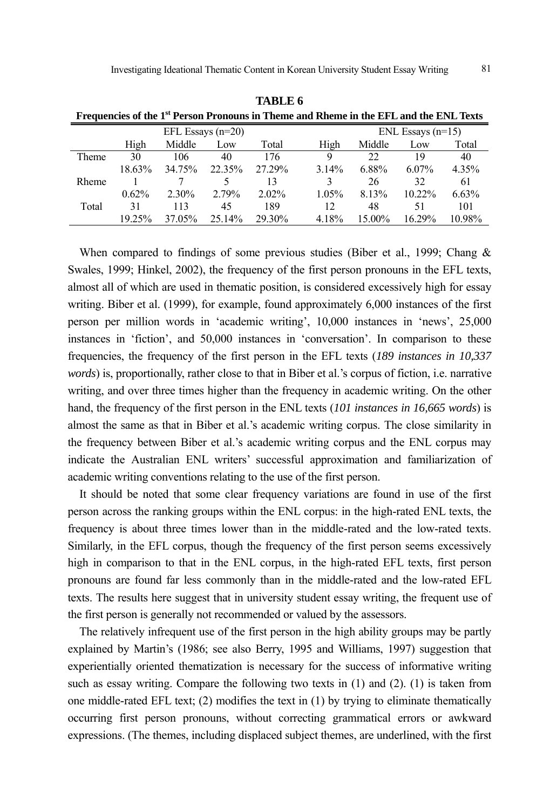| Frequencies of the 1 <sup>st</sup> Person Pronouns in Theme and Rheme in the EFL and the ENL Texts |        |          |                     |          |       |                     |           |        |  |  |
|----------------------------------------------------------------------------------------------------|--------|----------|---------------------|----------|-------|---------------------|-----------|--------|--|--|
|                                                                                                    |        |          | EFL Essays $(n=20)$ |          |       | ENL Essays $(n=15)$ |           |        |  |  |
|                                                                                                    | High   | Middle   | Low                 | Total    | High  | Middle              | Low       | Total  |  |  |
| Theme                                                                                              | 30     | 106      | 40                  | 176      | 9     | 22                  | 19        | 40     |  |  |
|                                                                                                    | 18.63% | 34.75%   | 22.35%              | 27.29%   | 3.14% | 6.88%               | $6.07\%$  | 4.35%  |  |  |
| Rheme                                                                                              |        |          |                     | 13       | 3     | 26                  | 32        | 61     |  |  |
|                                                                                                    | 0.62%  | $2.30\%$ | 2.79%               | $2.02\%$ | 1.05% | 8.13%               | $10.22\%$ | 6.63%  |  |  |
| Total                                                                                              | 31     | 113      | 45                  | 189      | 12    | 48                  | 51        | 101    |  |  |
|                                                                                                    | 19 25% | 37.05%   | 25.14%              | 29.30%   | 4.18% | 15.00%              | $16.29\%$ | 10.98% |  |  |

**TABLE 6** 

When compared to findings of some previous studies (Biber et al., 1999; Chang  $\&$ Swales, 1999; Hinkel, 2002), the frequency of the first person pronouns in the EFL texts, almost all of which are used in thematic position, is considered excessively high for essay writing. Biber et al. (1999), for example, found approximately 6,000 instances of the first person per million words in 'academic writing', 10,000 instances in 'news', 25,000 instances in 'fiction', and 50,000 instances in 'conversation'. In comparison to these frequencies, the frequency of the first person in the EFL texts (*189 instances in 10,337 words*) is, proportionally, rather close to that in Biber et al.'s corpus of fiction, i.e. narrative writing, and over three times higher than the frequency in academic writing. On the other hand, the frequency of the first person in the ENL texts (*101 instances in 16,665 words*) is almost the same as that in Biber et al.'s academic writing corpus. The close similarity in the frequency between Biber et al.'s academic writing corpus and the ENL corpus may indicate the Australian ENL writers' successful approximation and familiarization of academic writing conventions relating to the use of the first person.

It should be noted that some clear frequency variations are found in use of the first person across the ranking groups within the ENL corpus: in the high-rated ENL texts, the frequency is about three times lower than in the middle-rated and the low-rated texts. Similarly, in the EFL corpus, though the frequency of the first person seems excessively high in comparison to that in the ENL corpus, in the high-rated EFL texts, first person pronouns are found far less commonly than in the middle-rated and the low-rated EFL texts. The results here suggest that in university student essay writing, the frequent use of the first person is generally not recommended or valued by the assessors.

The relatively infrequent use of the first person in the high ability groups may be partly explained by Martin's (1986; see also Berry, 1995 and Williams, 1997) suggestion that experientially oriented thematization is necessary for the success of informative writing such as essay writing. Compare the following two texts in (1) and (2). (1) is taken from one middle-rated EFL text; (2) modifies the text in (1) by trying to eliminate thematically occurring first person pronouns, without correcting grammatical errors or awkward expressions. (The themes, including displaced subject themes, are underlined, with the first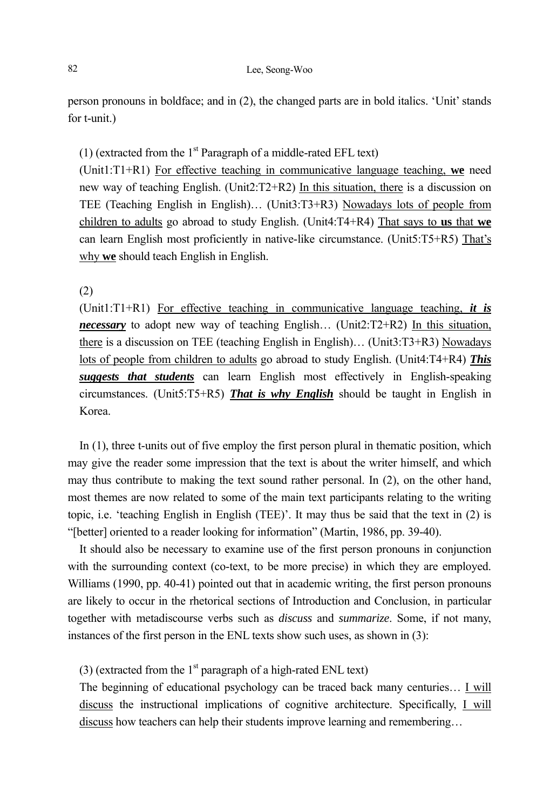person pronouns in boldface; and in (2), the changed parts are in bold italics. 'Unit' stands for t-unit.)

(1) (extracted from the  $1<sup>st</sup>$  Paragraph of a middle-rated EFL text)

(Unit1:T1+R1) For effective teaching in communicative language teaching, **we** need new way of teaching English. (Unit2:T2+R2) In this situation, there is a discussion on TEE (Teaching English in English)… (Unit3:T3+R3) Nowadays lots of people from children to adults go abroad to study English. (Unit4:T4+R4) That says to **us** that **we** can learn English most proficiently in native-like circumstance. (Unit5:T5+R5) That's why **we** should teach English in English.

(2)

(Unit1:T1+R1) For effective teaching in communicative language teaching, *it is necessary* to adopt new way of teaching English… (Unit2:T2+R2) In this situation, there is a discussion on TEE (teaching English in English)… (Unit3:T3+R3) Nowadays lots of people from children to adults go abroad to study English. (Unit4:T4+R4) *This suggests that students* can learn English most effectively in English-speaking circumstances. (Unit5:T5+R5) *That is why English* should be taught in English in Korea.

In (1), three t-units out of five employ the first person plural in thematic position, which may give the reader some impression that the text is about the writer himself, and which may thus contribute to making the text sound rather personal. In (2), on the other hand, most themes are now related to some of the main text participants relating to the writing topic, i.e. 'teaching English in English (TEE)'. It may thus be said that the text in (2) is "[better] oriented to a reader looking for information" (Martin, 1986, pp. 39-40).

It should also be necessary to examine use of the first person pronouns in conjunction with the surrounding context (co-text, to be more precise) in which they are employed. Williams (1990, pp. 40-41) pointed out that in academic writing, the first person pronouns are likely to occur in the rhetorical sections of Introduction and Conclusion, in particular together with metadiscourse verbs such as *discuss* and *summarize*. Some, if not many, instances of the first person in the ENL texts show such uses, as shown in (3):

(3) (extracted from the  $1<sup>st</sup>$  paragraph of a high-rated ENL text)

The beginning of educational psychology can be traced back many centuries… I will discuss the instructional implications of cognitive architecture. Specifically, I will discuss how teachers can help their students improve learning and remembering…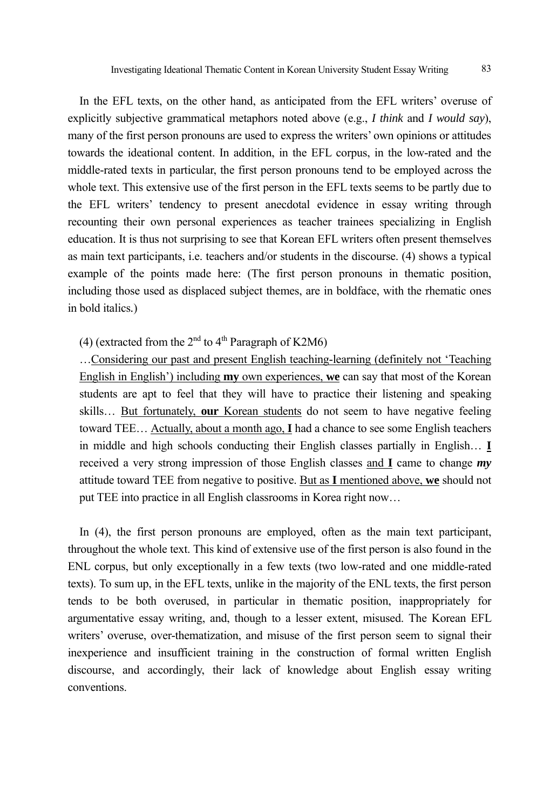In the EFL texts, on the other hand, as anticipated from the EFL writers' overuse of explicitly subjective grammatical metaphors noted above (e.g., *I think* and *I would say*), many of the first person pronouns are used to express the writers' own opinions or attitudes towards the ideational content. In addition, in the EFL corpus, in the low-rated and the middle-rated texts in particular, the first person pronouns tend to be employed across the whole text. This extensive use of the first person in the EFL texts seems to be partly due to the EFL writers' tendency to present anecdotal evidence in essay writing through recounting their own personal experiences as teacher trainees specializing in English education. It is thus not surprising to see that Korean EFL writers often present themselves as main text participants, i.e. teachers and/or students in the discourse. (4) shows a typical example of the points made here: (The first person pronouns in thematic position, including those used as displaced subject themes, are in boldface, with the rhematic ones in bold italics*.*)

(4) (extracted from the  $2<sup>nd</sup>$  to  $4<sup>th</sup>$  Paragraph of K2M6)

…Considering our past and present English teaching-learning (definitely not 'Teaching English in English') including **my** own experiences, **we** can say that most of the Korean students are apt to feel that they will have to practice their listening and speaking skills… But fortunately, **our** Korean students do not seem to have negative feeling toward TEE… Actually, about a month ago, **I** had a chance to see some English teachers in middle and high schools conducting their English classes partially in English… **I** received a very strong impression of those English classes and **I** came to change *my* attitude toward TEE from negative to positive. But as **I** mentioned above, **we** should not put TEE into practice in all English classrooms in Korea right now…

In (4), the first person pronouns are employed, often as the main text participant, throughout the whole text. This kind of extensive use of the first person is also found in the ENL corpus, but only exceptionally in a few texts (two low-rated and one middle-rated texts). To sum up, in the EFL texts, unlike in the majority of the ENL texts, the first person tends to be both overused, in particular in thematic position, inappropriately for argumentative essay writing, and, though to a lesser extent, misused. The Korean EFL writers' overuse, over-thematization, and misuse of the first person seem to signal their inexperience and insufficient training in the construction of formal written English discourse, and accordingly, their lack of knowledge about English essay writing conventions.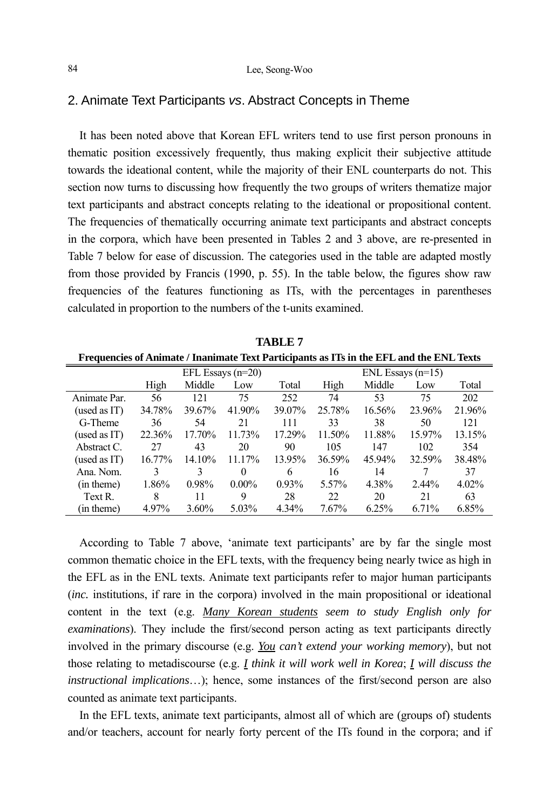#### 2. Animate Text Participants *vs*. Abstract Concepts in Theme

It has been noted above that Korean EFL writers tend to use first person pronouns in thematic position excessively frequently, thus making explicit their subjective attitude towards the ideational content, while the majority of their ENL counterparts do not. This section now turns to discussing how frequently the two groups of writers thematize major text participants and abstract concepts relating to the ideational or propositional content. The frequencies of thematically occurring animate text participants and abstract concepts in the corpora, which have been presented in Tables 2 and 3 above, are re-presented in Table 7 below for ease of discussion. The categories used in the table are adapted mostly from those provided by Francis (1990, p. 55). In the table below, the figures show raw frequencies of the features functioning as ITs, with the percentages in parentheses calculated in proportion to the numbers of the t-units examined.

| Frequencies of Animate / Inanimate Text Participants as ITs in the EFL and the ENL Texts |        |        |                     |        |        |        |                     |          |  |  |
|------------------------------------------------------------------------------------------|--------|--------|---------------------|--------|--------|--------|---------------------|----------|--|--|
|                                                                                          |        |        | EFL Essays $(n=20)$ |        |        |        | ENL Essays $(n=15)$ |          |  |  |
|                                                                                          | High   | Middle | Low                 | Total  | High   | Middle | Low                 | Total    |  |  |
| Animate Par.                                                                             | 56     | 121    | 75                  | 252    | 74     | 53     | 75                  | 202      |  |  |
| (used as IT)                                                                             | 34.78% | 39.67% | 41.90%              | 39.07% | 25.78% | 16.56% | 23.96%              | 21.96%   |  |  |
| G-Theme                                                                                  | 36     | 54     | 21                  | 111    | 33     | 38     | 50                  | 121      |  |  |
| (used as IT)                                                                             | 22.36% | 17.70% | 11.73%              | 17.29% | 11.50% | 11.88% | 15.97%              | 13.15%   |  |  |
| Abstract C.                                                                              | 27     | 43     | 20                  | 90     | 105    | 147    | 102                 | 354      |  |  |
| (used as IT)                                                                             | 16.77% | 14.10% | 11.17%              | 13.95% | 36.59% | 45.94% | 32.59%              | 38.48%   |  |  |
| Ana. Nom.                                                                                | 3      | 3      | $\theta$            | 6      | 16     | 14     |                     | 37       |  |  |
| (in theme)                                                                               | 1.86%  | 0.98%  | $0.00\%$            | 0.93%  | 5.57%  | 4.38%  | $2.44\%$            | $4.02\%$ |  |  |
| Text R                                                                                   | 8      | 11     | 9                   | 28     | 22     | 20     | 21                  | 63       |  |  |
| (in theme)                                                                               | 4.97%  | 3.60%  | 5.03%               | 4.34%  | 7.67%  | 6.25%  | 6.71%               | 6.85%    |  |  |

**TABLE 7** 

According to Table 7 above, 'animate text participants' are by far the single most common thematic choice in the EFL texts, with the frequency being nearly twice as high in the EFL as in the ENL texts. Animate text participants refer to major human participants (*inc.* institutions, if rare in the corpora) involved in the main propositional or ideational content in the text (e.g. *Many Korean students seem to study English only for examinations*). They include the first/second person acting as text participants directly involved in the primary discourse (e.g. *You can't extend your working memory*), but not those relating to metadiscourse (e.g. *I think it will work well in Korea*; *I will discuss the instructional implications*…); hence, some instances of the first/second person are also counted as animate text participants.

In the EFL texts, animate text participants, almost all of which are (groups of) students and/or teachers, account for nearly forty percent of the ITs found in the corpora; and if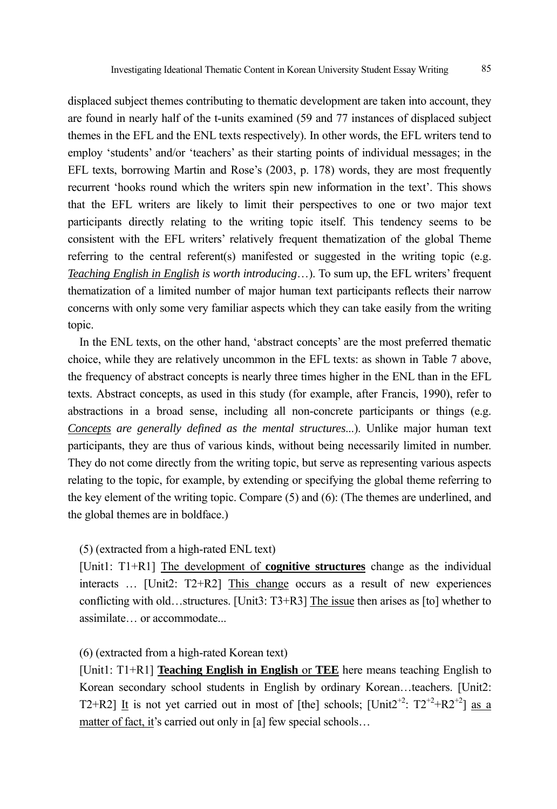displaced subject themes contributing to thematic development are taken into account, they are found in nearly half of the t-units examined (59 and 77 instances of displaced subject themes in the EFL and the ENL texts respectively). In other words, the EFL writers tend to employ 'students' and/or 'teachers' as their starting points of individual messages; in the EFL texts, borrowing Martin and Rose's (2003, p. 178) words, they are most frequently recurrent 'hooks round which the writers spin new information in the text'. This shows that the EFL writers are likely to limit their perspectives to one or two major text participants directly relating to the writing topic itself. This tendency seems to be consistent with the EFL writers' relatively frequent thematization of the global Theme referring to the central referent(s) manifested or suggested in the writing topic (e.g. *Teaching English in English is worth introducing*…). To sum up, the EFL writers' frequent thematization of a limited number of major human text participants reflects their narrow concerns with only some very familiar aspects which they can take easily from the writing topic.

In the ENL texts, on the other hand, 'abstract concepts' are the most preferred thematic choice, while they are relatively uncommon in the EFL texts: as shown in Table 7 above, the frequency of abstract concepts is nearly three times higher in the ENL than in the EFL texts. Abstract concepts, as used in this study (for example, after Francis, 1990), refer to abstractions in a broad sense, including all non-concrete participants or things (e.g. *Concepts are generally defined as the mental structures*...). Unlike major human text participants, they are thus of various kinds, without being necessarily limited in number. They do not come directly from the writing topic, but serve as representing various aspects relating to the topic, for example, by extending or specifying the global theme referring to the key element of the writing topic. Compare (5) and (6): (The themes are underlined, and the global themes are in boldface.)

#### (5) (extracted from a high-rated ENL text)

[Unit1: T1+R1] The development of **cognitive structures** change as the individual interacts … [Unit2: T2+R2] This change occurs as a result of new experiences conflicting with old…structures. [Unit3: T3+R3] The issue then arises as [to] whether to assimilate… or accommodate...

#### (6) (extracted from a high-rated Korean text)

[Unit1: T1+R1] **Teaching English in English** or **TEE** here means teaching English to Korean secondary school students in English by ordinary Korean...teachers. [Unit2: T2+R2] It is not yet carried out in most of [the] schools;  $[Unit2^{+2}: T2^{+2}+R2^{+2}]$  as a matter of fact, it's carried out only in [a] few special schools...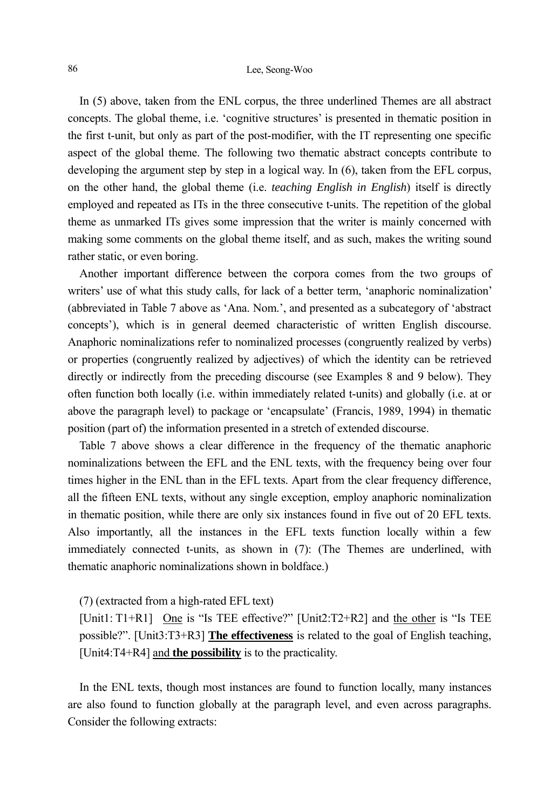#### 86 Lee, Seong-Woo

In (5) above, taken from the ENL corpus, the three underlined Themes are all abstract concepts. The global theme, i.e. 'cognitive structures' is presented in thematic position in the first t-unit, but only as part of the post-modifier, with the IT representing one specific aspect of the global theme. The following two thematic abstract concepts contribute to developing the argument step by step in a logical way. In (6), taken from the EFL corpus, on the other hand, the global theme (i.e. *teaching English in English*) itself is directly employed and repeated as ITs in the three consecutive t-units. The repetition of the global theme as unmarked ITs gives some impression that the writer is mainly concerned with making some comments on the global theme itself, and as such, makes the writing sound rather static, or even boring.

Another important difference between the corpora comes from the two groups of writers' use of what this study calls, for lack of a better term, 'anaphoric nominalization' (abbreviated in Table 7 above as 'Ana. Nom.', and presented as a subcategory of 'abstract concepts'), which is in general deemed characteristic of written English discourse. Anaphoric nominalizations refer to nominalized processes (congruently realized by verbs) or properties (congruently realized by adjectives) of which the identity can be retrieved directly or indirectly from the preceding discourse (see Examples 8 and 9 below). They often function both locally (i.e. within immediately related t-units) and globally (i.e. at or above the paragraph level) to package or 'encapsulate' (Francis, 1989, 1994) in thematic position (part of) the information presented in a stretch of extended discourse.

Table 7 above shows a clear difference in the frequency of the thematic anaphoric nominalizations between the EFL and the ENL texts, with the frequency being over four times higher in the ENL than in the EFL texts. Apart from the clear frequency difference, all the fifteen ENL texts, without any single exception, employ anaphoric nominalization in thematic position, while there are only six instances found in five out of 20 EFL texts. Also importantly, all the instances in the EFL texts function locally within a few immediately connected t-units, as shown in (7): (The Themes are underlined, with thematic anaphoric nominalizations shown in boldface.)

#### (7) (extracted from a high-rated EFL text)

[Unit1: T1+R1] One is "Is TEE effective?" [Unit2:T2+R2] and the other is "Is TEE possible?". [Unit3:T3+R3] **The effectiveness** is related to the goal of English teaching, [Unit4:T4+R4] and **the possibility** is to the practicality.

In the ENL texts, though most instances are found to function locally, many instances are also found to function globally at the paragraph level, and even across paragraphs. Consider the following extracts: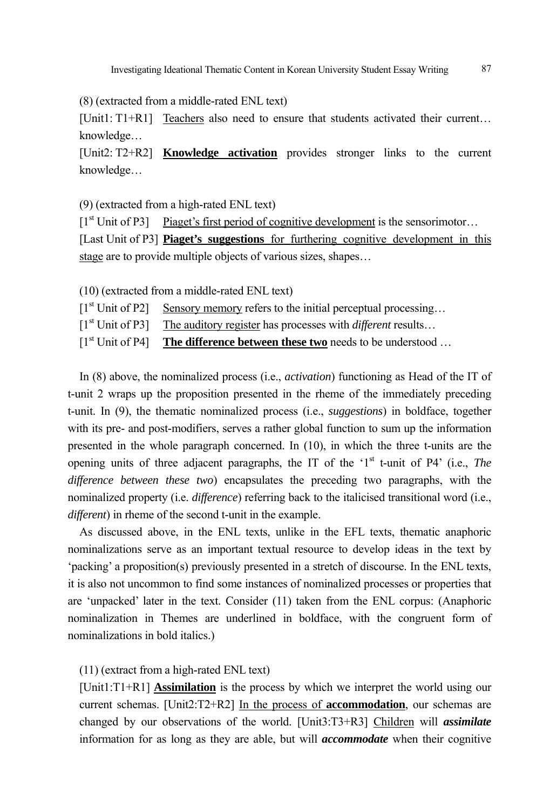(8) (extracted from a middle-rated ENL text)

[Unit1: T1+R1] Teachers also need to ensure that students activated their current… knowledge…

[Unit2: T2+R2] **Knowledge activation** provides stronger links to the current knowledge…

(9) (extracted from a high-rated ENL text)

 $[1<sup>st</sup> Unit of P3]$  Piaget's first period of cognitive development is the sensorimotor... [Last Unit of P3] **Piaget's suggestions** for furthering cognitive development in this stage are to provide multiple objects of various sizes, shapes…

(10) (extracted from a middle-rated ENL text)

 $[1<sup>st</sup> Unit of P2]$  Sensory memory refers to the initial perceptual processing...

[1st Unit of P3] The auditory register has processes with *different* results…

[1<sup>st</sup> Unit of P4] **The difference between these two** needs to be understood ...

In (8) above, the nominalized process (i.e., *activation*) functioning as Head of the IT of t-unit 2 wraps up the proposition presented in the rheme of the immediately preceding t-unit. In (9), the thematic nominalized process (i.e., *suggestions*) in boldface, together with its pre- and post-modifiers, serves a rather global function to sum up the information presented in the whole paragraph concerned. In (10), in which the three t-units are the opening units of three adjacent paragraphs, the IT of the '1<sup>st</sup> t-unit of P4' (i.e., *The difference between these two*) encapsulates the preceding two paragraphs, with the nominalized property (i.e. *difference*) referring back to the italicised transitional word (i.e., *different*) in rheme of the second t-unit in the example.

As discussed above, in the ENL texts, unlike in the EFL texts, thematic anaphoric nominalizations serve as an important textual resource to develop ideas in the text by 'packing' a proposition(s) previously presented in a stretch of discourse. In the ENL texts, it is also not uncommon to find some instances of nominalized processes or properties that are 'unpacked' later in the text. Consider (11) taken from the ENL corpus: (Anaphoric nominalization in Themes are underlined in boldface, with the congruent form of nominalizations in bold italics.)

(11) (extract from a high-rated ENL text)

[Unit1:T1+R1] **Assimilation** is the process by which we interpret the world using our current schemas. [Unit2:T2+R2] In the process of **accommodation**, our schemas are changed by our observations of the world. [Unit3:T3+R3] Children will *assimilate* information for as long as they are able, but will *accommodate* when their cognitive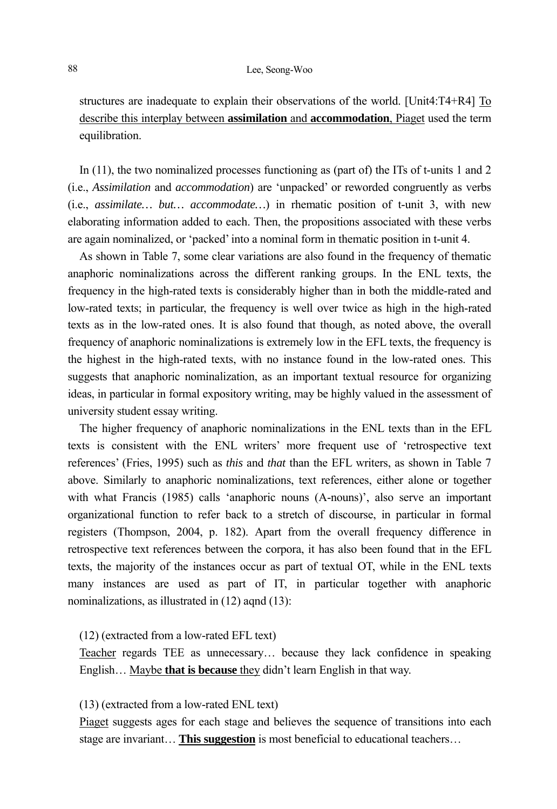structures are inadequate to explain their observations of the world. [Unit4:T4+R4] To describe this interplay between **assimilation** and **accommodation**, Piaget used the term equilibration.

In (11), the two nominalized processes functioning as (part of) the ITs of t-units 1 and 2 (i.e., *Assimilation* and *accommodation*) are 'unpacked' or reworded congruently as verbs (i.e., *assimilate… but… accommodate…*) in rhematic position of t-unit 3, with new elaborating information added to each. Then, the propositions associated with these verbs are again nominalized, or 'packed' into a nominal form in thematic position in t-unit 4.

As shown in Table 7, some clear variations are also found in the frequency of thematic anaphoric nominalizations across the different ranking groups. In the ENL texts, the frequency in the high-rated texts is considerably higher than in both the middle-rated and low-rated texts; in particular, the frequency is well over twice as high in the high-rated texts as in the low-rated ones. It is also found that though, as noted above, the overall frequency of anaphoric nominalizations is extremely low in the EFL texts, the frequency is the highest in the high-rated texts, with no instance found in the low-rated ones. This suggests that anaphoric nominalization, as an important textual resource for organizing ideas, in particular in formal expository writing, may be highly valued in the assessment of university student essay writing.

The higher frequency of anaphoric nominalizations in the ENL texts than in the EFL texts is consistent with the ENL writers' more frequent use of 'retrospective text references' (Fries, 1995) such as *this* and *that* than the EFL writers, as shown in Table 7 above. Similarly to anaphoric nominalizations, text references, either alone or together with what Francis (1985) calls 'anaphoric nouns (A-nouns)', also serve an important organizational function to refer back to a stretch of discourse, in particular in formal registers (Thompson, 2004, p. 182). Apart from the overall frequency difference in retrospective text references between the corpora, it has also been found that in the EFL texts, the majority of the instances occur as part of textual OT, while in the ENL texts many instances are used as part of IT, in particular together with anaphoric nominalizations, as illustrated in (12) aqnd (13):

#### (12) (extracted from a low-rated EFL text)

Teacher regards TEE as unnecessary… because they lack confidence in speaking English… Maybe **that is because** they didn't learn English in that way.

#### (13) (extracted from a low-rated ENL text)

Piaget suggests ages for each stage and believes the sequence of transitions into each stage are invariant… **This suggestion** is most beneficial to educational teachers…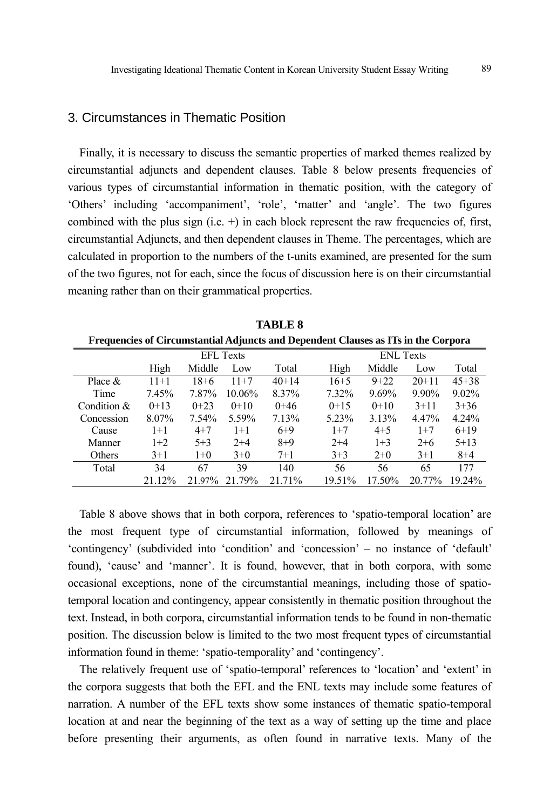## 3. Circumstances in Thematic Position

Finally, it is necessary to discuss the semantic properties of marked themes realized by circumstantial adjuncts and dependent clauses. Table 8 below presents frequencies of various types of circumstantial information in thematic position, with the category of 'Others' including 'accompaniment', 'role', 'matter' and 'angle'. The two figures combined with the plus sign (i.e.  $+$ ) in each block represent the raw frequencies of, first, circumstantial Adjuncts, and then dependent clauses in Theme. The percentages, which are calculated in proportion to the numbers of the t-units examined, are presented for the sum of the two figures, not for each, since the focus of discussion here is on their circumstantial meaning rather than on their grammatical properties.

| Frequencies of Circumstantial Adjuncts and Dependent Clauses as ITs in the Corpora |        |          |                  |         |          |                  |          |           |  |  |
|------------------------------------------------------------------------------------|--------|----------|------------------|---------|----------|------------------|----------|-----------|--|--|
|                                                                                    |        |          | <b>EFL Texts</b> |         |          | <b>ENL Texts</b> |          |           |  |  |
|                                                                                    | High   | Middle   | Low              | Total   | High     | Middle           | Low      | Total     |  |  |
| Place $&$                                                                          | $11+1$ | $18 + 6$ | $11+7$           | $40+14$ | $16 + 5$ | $9 + 22$         | $20+11$  | $45 + 38$ |  |  |
| Time                                                                               | 7.45%  | 7.87%    | 10.06%           | 8.37%   | 7.32%    | 9.69%            | 9.90%    | $9.02\%$  |  |  |
| Condition &                                                                        | $0+13$ | $0+23$   | $0+10$           | $0+46$  | $0+15$   | $0+10$           | $3 + 11$ | $3 + 36$  |  |  |
| Concession                                                                         | 8.07%  | $7.54\%$ | 5.59%            | 7.13%   | 5.23%    | 3.13%            | 4.47%    | $4.24\%$  |  |  |
| Cause                                                                              | $1+1$  | $4 + 7$  | $1+1$            | $6+9$   | $1+7$    | $4 + 5$          | $1+7$    | $6+19$    |  |  |
| Manner                                                                             | $1+2$  | $5 + 3$  | $2 + 4$          | $8+9$   | $2+4$    | $1 + 3$          | $2+6$    | $5 + 13$  |  |  |
| Others                                                                             | $3+1$  | $1+0$    | $3+0$            | $7 + 1$ | $3+3$    | $2+0$            | $3+1$    | $8 + 4$   |  |  |
| Total                                                                              | 34     | 67       | 39               | 140     | 56       | 56               | 65       | 177       |  |  |
|                                                                                    | 21.12% | 21.97%   | 21.79%           | 21.71%  | 19.51%   | 17.50%           | 20.77%   | 19.24%    |  |  |

**TABLE 8** 

Table 8 above shows that in both corpora, references to 'spatio-temporal location' are the most frequent type of circumstantial information, followed by meanings of 'contingency' (subdivided into 'condition' and 'concession' – no instance of 'default' found), 'cause' and 'manner'. It is found, however, that in both corpora, with some occasional exceptions, none of the circumstantial meanings, including those of spatiotemporal location and contingency, appear consistently in thematic position throughout the text. Instead, in both corpora, circumstantial information tends to be found in non-thematic position. The discussion below is limited to the two most frequent types of circumstantial information found in theme: 'spatio-temporality' and 'contingency'.

The relatively frequent use of 'spatio-temporal' references to 'location' and 'extent' in the corpora suggests that both the EFL and the ENL texts may include some features of narration. A number of the EFL texts show some instances of thematic spatio-temporal location at and near the beginning of the text as a way of setting up the time and place before presenting their arguments, as often found in narrative texts. Many of the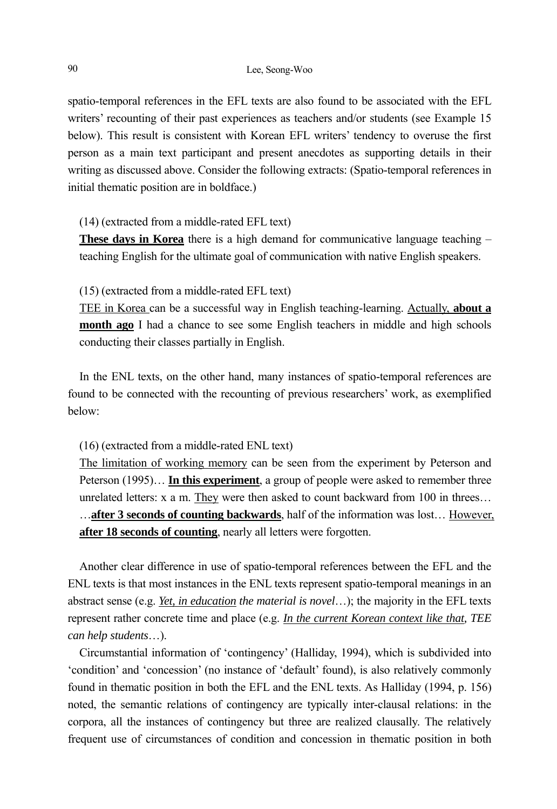spatio-temporal references in the EFL texts are also found to be associated with the EFL writers' recounting of their past experiences as teachers and/or students (see Example 15 below). This result is consistent with Korean EFL writers' tendency to overuse the first person as a main text participant and present anecdotes as supporting details in their writing as discussed above. Consider the following extracts: (Spatio-temporal references in initial thematic position are in boldface.)

(14) (extracted from a middle-rated EFL text)

**These days in Korea** there is a high demand for communicative language teaching – teaching English for the ultimate goal of communication with native English speakers.

(15) (extracted from a middle-rated EFL text)

TEE in Korea can be a successful way in English teaching-learning. Actually, **about a month ago** I had a chance to see some English teachers in middle and high schools conducting their classes partially in English.

In the ENL texts, on the other hand, many instances of spatio-temporal references are found to be connected with the recounting of previous researchers' work, as exemplified below:

(16) (extracted from a middle-rated ENL text)

The limitation of working memory can be seen from the experiment by Peterson and Peterson (1995)… **In this experiment**, a group of people were asked to remember three unrelated letters: x a m. They were then asked to count backward from 100 in threes… …**after 3 seconds of counting backwards**, half of the information was lost… However, **after 18 seconds of counting**, nearly all letters were forgotten.

Another clear difference in use of spatio-temporal references between the EFL and the ENL texts is that most instances in the ENL texts represent spatio-temporal meanings in an abstract sense (e.g. *Yet, in education the material is novel*…); the majority in the EFL texts represent rather concrete time and place (e.g. *In the current Korean context like that, TEE can help students*…).

Circumstantial information of 'contingency' (Halliday, 1994), which is subdivided into 'condition' and 'concession' (no instance of 'default' found), is also relatively commonly found in thematic position in both the EFL and the ENL texts. As Halliday (1994, p. 156) noted, the semantic relations of contingency are typically inter-clausal relations: in the corpora, all the instances of contingency but three are realized clausally. The relatively frequent use of circumstances of condition and concession in thematic position in both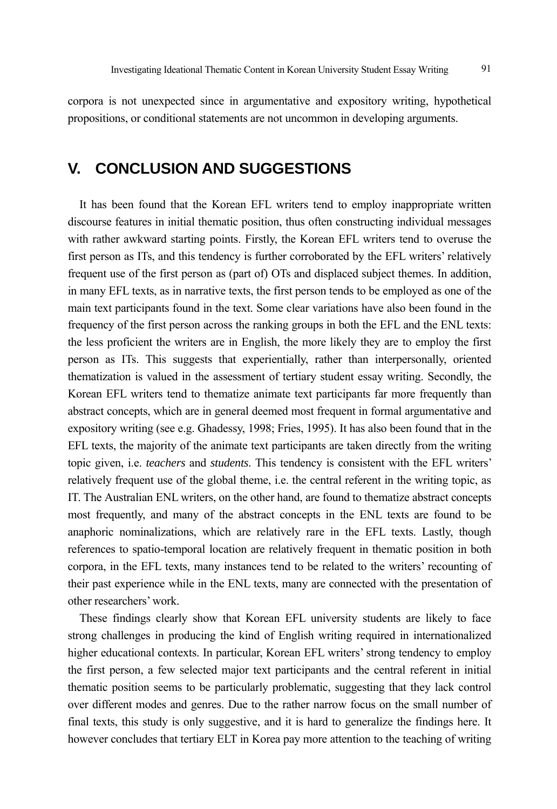corpora is not unexpected since in argumentative and expository writing, hypothetical propositions, or conditional statements are not uncommon in developing arguments.

## **V. CONCLUSION AND SUGGESTIONS**

It has been found that the Korean EFL writers tend to employ inappropriate written discourse features in initial thematic position, thus often constructing individual messages with rather awkward starting points. Firstly, the Korean EFL writers tend to overuse the first person as ITs, and this tendency is further corroborated by the EFL writers' relatively frequent use of the first person as (part of) OTs and displaced subject themes. In addition, in many EFL texts, as in narrative texts, the first person tends to be employed as one of the main text participants found in the text. Some clear variations have also been found in the frequency of the first person across the ranking groups in both the EFL and the ENL texts: the less proficient the writers are in English, the more likely they are to employ the first person as ITs. This suggests that experientially, rather than interpersonally, oriented thematization is valued in the assessment of tertiary student essay writing. Secondly, the Korean EFL writers tend to thematize animate text participants far more frequently than abstract concepts, which are in general deemed most frequent in formal argumentative and expository writing (see e.g. Ghadessy, 1998; Fries, 1995). It has also been found that in the EFL texts, the majority of the animate text participants are taken directly from the writing topic given, i.e. *teachers* and *students*. This tendency is consistent with the EFL writers' relatively frequent use of the global theme, i.e. the central referent in the writing topic, as IT. The Australian ENL writers, on the other hand, are found to thematize abstract concepts most frequently, and many of the abstract concepts in the ENL texts are found to be anaphoric nominalizations, which are relatively rare in the EFL texts. Lastly, though references to spatio-temporal location are relatively frequent in thematic position in both corpora, in the EFL texts, many instances tend to be related to the writers' recounting of their past experience while in the ENL texts, many are connected with the presentation of other researchers' work.

These findings clearly show that Korean EFL university students are likely to face strong challenges in producing the kind of English writing required in internationalized higher educational contexts. In particular, Korean EFL writers' strong tendency to employ the first person, a few selected major text participants and the central referent in initial thematic position seems to be particularly problematic, suggesting that they lack control over different modes and genres. Due to the rather narrow focus on the small number of final texts, this study is only suggestive, and it is hard to generalize the findings here. It however concludes that tertiary ELT in Korea pay more attention to the teaching of writing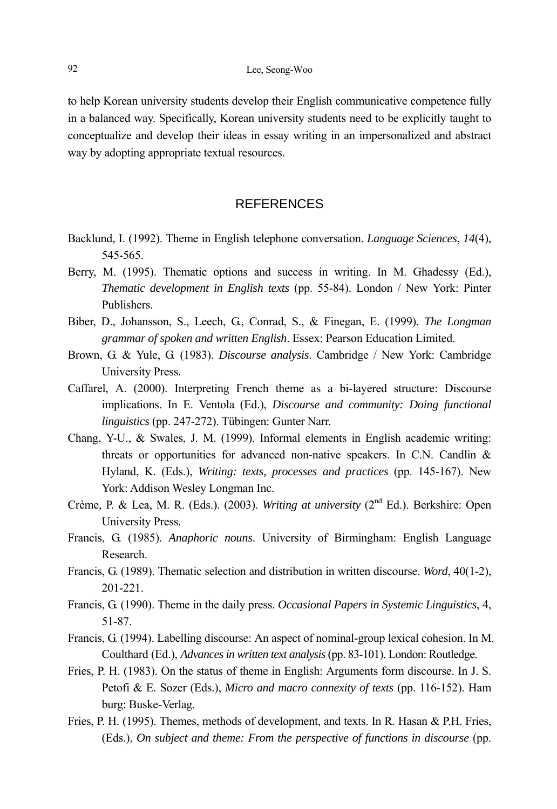to help Korean university students develop their English communicative competence fully in a balanced way. Specifically, Korean university students need to be explicitly taught to conceptualize and develop their ideas in essay writing in an impersonalized and abstract way by adopting appropriate textual resources.

## REFERENCES

- Backlund, I. (1992). Theme in English telephone conversation. *Language Sciences*, *14*(4), 545-565.
- Berry, M. (1995). Thematic options and success in writing. In M. Ghadessy (Ed.), *Thematic development in English texts* (pp. 55-84). London / New York: Pinter Publishers.
- Biber, D., Johansson, S., Leech, G., Conrad, S., & Finegan, E. (1999). *The Longman grammar of spoken and written English*. Essex: Pearson Education Limited.
- Brown, G. & Yule, G. (1983). *Discourse analysis*. Cambridge / New York: Cambridge University Press.
- Caffarel, A. (2000). Interpreting French theme as a bi-layered structure: Discourse implications. In E. Ventola (Ed.), *Discourse and community: Doing functional linguistics* (pp. 247-272). Tübingen: Gunter Narr.
- Chang, Y-U., & Swales, J. M. (1999). Informal elements in English academic writing: threats or opportunities for advanced non-native speakers. In C.N. Candlin & Hyland, K. (Eds.), *Writing: texts, processes and practices* (pp. 145-167). New York: Addison Wesley Longman Inc.
- Crème, P. & Lea, M. R. (Eds.). (2003). *Writing at university* (2<sup>nd</sup> Ed.). Berkshire: Open University Press.
- Francis, G. (1985). *Anaphoric nouns*. University of Birmingham: English Language Research.
- Francis, G. (1989). Thematic selection and distribution in written discourse. *Word*, 40(1-2), 201-221.
- Francis, G. (1990). Theme in the daily press. *Occasional Papers in Systemic Linguistics*, 4, 51-87.
- Francis, G. (1994). Labelling discourse: An aspect of nominal-group lexical cohesion. In M. Coulthard (Ed.), *Advances in written text analysis* (pp. 83-101). London: Routledge.
- Fries, P. H. (1983). On the status of theme in English: Arguments form discourse. In J. S. Petofi & E. Sozer (Eds.), *Micro and macro connexity of texts* (pp. 116-152). Ham burg: Buske-Verlag.
- Fries, P. H. (1995). Themes, methods of development, and texts. In R. Hasan & P.H. Fries, (Eds.), *On subject and theme: From the perspective of functions in discourse* (pp.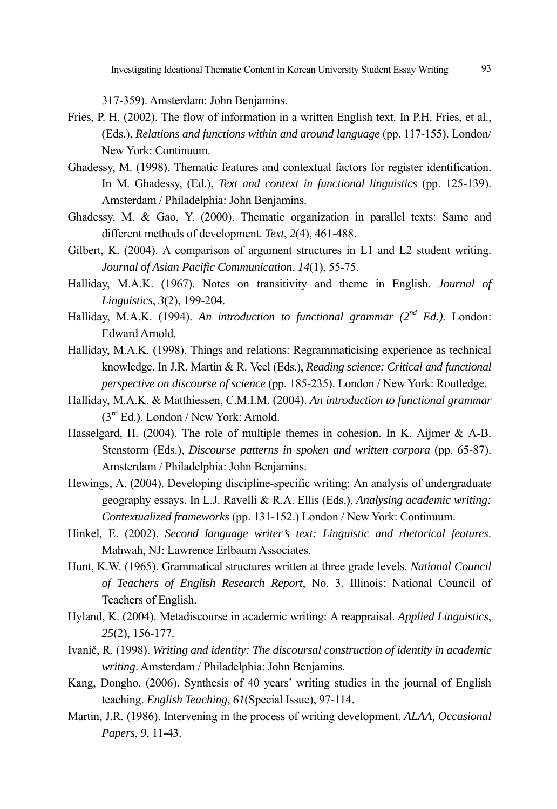317-359). Amsterdam: John Benjamins.

- Fries, P. H. (2002). The flow of information in a written English text. In P.H. Fries, et al., (Eds.), *Relations and functions within and around language* (pp. 117-155). London/ New York: Continuum.
- Ghadessy, M. (1998). Thematic features and contextual factors for register identification. In M. Ghadessy, (Ed.), *Text and context in functional linguistics* (pp. 125-139). Amsterdam / Philadelphia: John Benjamins.
- Ghadessy, M. & Gao, Y. (2000). Thematic organization in parallel texts: Same and different methods of development. *Text*, *2*(4), 461-488.
- Gilbert, K. (2004). A comparison of argument structures in L1 and L2 student writing. *Journal of Asian Pacific Communication*, *14*(1), 55-75.
- Halliday, M.A.K. (1967). Notes on transitivity and theme in English. *Journal of Linguistics*, *3*(2), 199-204.
- Halliday, M.A.K. (1994). *An introduction to functional grammar (2nd Ed.)*. London: Edward Arnold.
- Halliday, M.A.K. (1998). Things and relations: Regrammaticising experience as technical knowledge. In J.R. Martin & R. Veel (Eds.), *Reading science: Critical and functional perspective on discourse of science* (pp. 185-235). London / New York: Routledge.
- Halliday, M.A.K. & Matthiessen, C.M.I.M. (2004). *An introduction to functional grammar*  (3rd Ed.). London / New York: Arnold.
- Hasselgard, H. (2004). The role of multiple themes in cohesion. In K. Aijmer & A-B. Stenstorm (Eds.), *Discourse patterns in spoken and written corpora* (pp. 65-87). Amsterdam / Philadelphia: John Benjamins.
- Hewings, A. (2004). Developing discipline-specific writing: An analysis of undergraduate geography essays. In L.J. Ravelli & R.A. Ellis (Eds.), *Analysing academic writing: Contextualized frameworks* (pp. 131-152.) London / New York: Continuum.
- Hinkel, E. (2002). *Second language writer's text: Linguistic and rhetorical features*. Mahwah, NJ: Lawrence Erlbaum Associates.
- Hunt, K.W. (1965). Grammatical structures written at three grade levels. *National Council of Teachers of English Research Report*, No. 3. Illinois: National Council of Teachers of English.
- Hyland, K. (2004). Metadiscourse in academic writing: A reappraisal. *Applied Linguistics*, *25*(2), 156-177.
- Ivanič, R. (1998). *Writing and identity: The discoursal construction of identity in academic writing*. Amsterdam / Philadelphia: John Benjamins.
- Kang, Dongho. (2006). Synthesis of 40 years' writing studies in the journal of English teaching. *English Teaching*, *61*(Special Issue), 97-114.
- Martin, J.R. (1986). Intervening in the process of writing development. *ALAA, Occasional Papers*, *9*, 11-43.